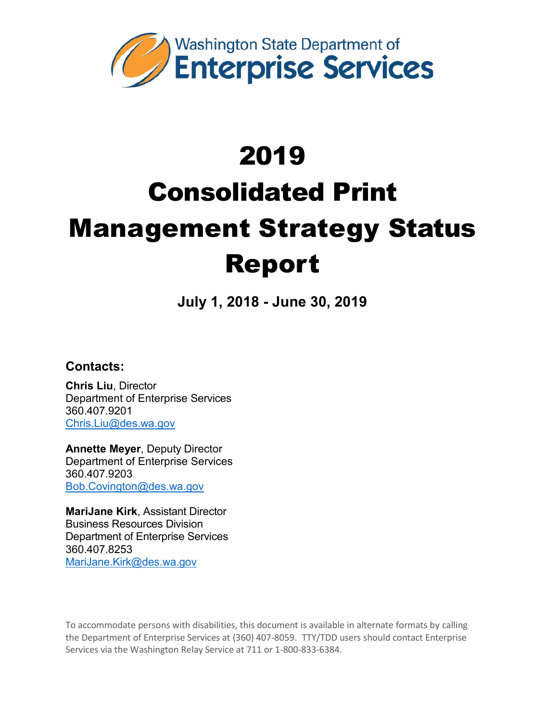

**July 1, 2018 - June 30, 2019**

**Contacts:**

**Chris Liu**, Director Department of Enterprise Services 360.407.9201 [Chris.Liu@des.wa.gov](mailto:Chris.Liu@des.wa.gov)

**Annette Meyer**, Deputy Director Department of Enterprise Services 360.407.9203 [Bob.Covington@des.wa.gov](mailto:Bob.Covington@des.wa.gov)

**MariJane Kirk**, Assistant Director Business Resources Division Department of Enterprise Services 360.407.8253 [MariJane.Kirk@des.wa.gov](mailto:MariJane.Kirk@des.wa.gov)

To accommodate persons with disabilities, this document is available in alternate formats by calling the Department of Enterprise Services at (360) 407-8059. TTY/TDD users should contact Enterprise Services via the Washington Relay Service at 711 or 1-800-833-6384.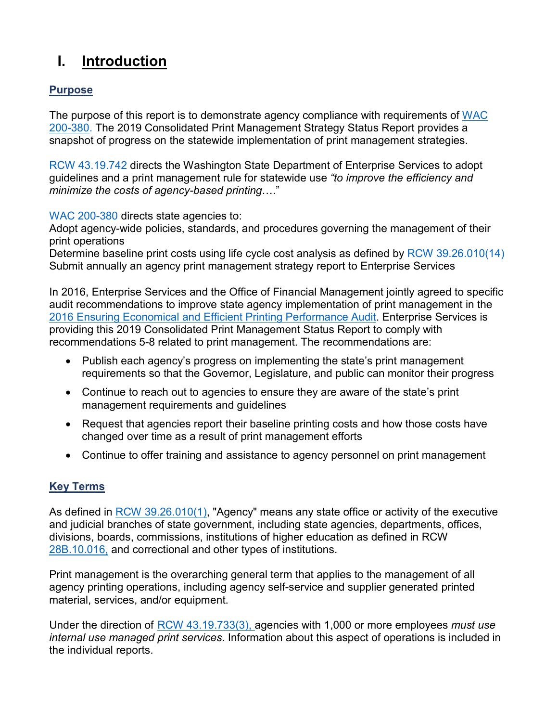# **I. Introduction**

## **Purpose**

The purpose of this report is to demonstrate agency compliance with requirements of [WAC](http://apps.leg.wa.gov/wac/default.aspx?cite=200-380)  [200-380.](http://apps.leg.wa.gov/wac/default.aspx?cite=200-380) The 2019 Consolidated Print Management Strategy Status Report provides a snapshot of progress on the statewide implementation of print management strategies.

[RCW 43.19.742](http://app.leg.wa.gov/RCW/default.aspx?cite=43.19.742) directs the Washington State Department of Enterprise Services to adopt guidelines and a print management rule for statewide use *"to improve the efficiency and minimize the costs of agency-based printing*…."

[WAC 200-380](http://apps.leg.wa.gov/wac/default.aspx?cite=200-380) directs state agencies to:

Adopt agency-wide policies, standards, and procedures governing the management of their print operations

Determine baseline print costs using life cycle cost analysis as defined by [RCW 39.26.010\(14\)](http://apps.leg.wa.gov/rcw/default.aspx?Cite=39.26.010) Submit annually an agency print management strategy report to Enterprise Services

In 2016, Enterprise Services and the Office of Financial Management jointly agreed to specific audit recommendations to improve state agency implementation of print management in the [2016 Ensuring Economical and Efficient Printing Performance Audit.](http://portal.sao.wa.gov/ReportSearch/Home/ViewReportFile?arn=1017881&isFinding=false&sp=false) Enterprise Services is providing this 2019 Consolidated Print Management Status Report to comply with recommendations 5-8 related to print management. The recommendations are:

- Publish each agency's progress on implementing the state's print management requirements so that the Governor, Legislature, and public can monitor their progress
- Continue to reach out to agencies to ensure they are aware of the state's print management requirements and guidelines
- Request that agencies report their baseline printing costs and how those costs have changed over time as a result of print management efforts
- Continue to offer training and assistance to agency personnel on print management

# **Key Terms**

As defined in [RCW 39.26.010\(1\),](http://app.leg.wa.gov/rcw/default.aspx?cite=39.26.010) "Agency" means any state office or activity of the executive and judicial branches of state government, including state agencies, departments, offices, divisions, boards, commissions, institutions of higher education as defined in RCW [28B.10.016,](http://apps.leg.wa.gov/RCW/default.aspx?cite=28B.10.016) and correctional and other types of institutions.

Print management is the overarching general term that applies to the management of all agency printing operations, including agency self-service and supplier generated printed material, services, and/or equipment.

Under the direction of [RCW 43.19.733\(3\),](http://apps.leg.wa.gov/RCW/default.aspx?cite=43.19.733) agencies with 1,000 or more employees *must use internal use managed print services*. Information about this aspect of operations is included in the individual reports.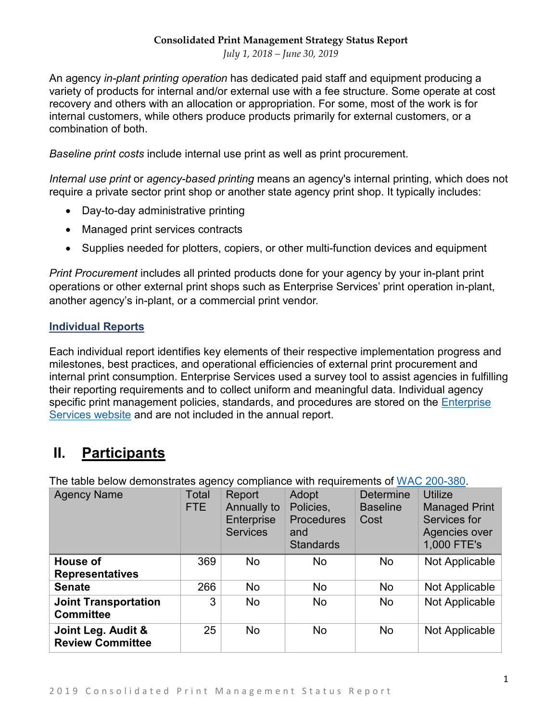*July 1, 2018 – June 30, 2019*

An agency *in-plant printing operation* has dedicated paid staff and equipment producing a variety of products for internal and/or external use with a fee structure. Some operate at cost recovery and others with an allocation or appropriation. For some, most of the work is for internal customers, while others produce products primarily for external customers, or a combination of both.

*Baseline print costs* include internal use print as well as print procurement.

*Internal use print* or *agency-based printing* means an agency's internal printing, which does not require a private sector print shop or another state agency print shop. It typically includes:

- Day-to-day administrative printing
- Managed print services contracts
- Supplies needed for plotters, copiers, or other multi-function devices and equipment

*Print Procurement* includes all printed products done for your agency by your in-plant print operations or other external print shops such as Enterprise Services' print operation in-plant, another agency's in-plant, or a commercial print vendor.

#### **Individual Reports**

Each individual report identifies key elements of their respective implementation progress and milestones, best practices, and operational efficiencies of external print procurement and internal print consumption. Enterprise Services used a survey tool to assist agencies in fulfilling their reporting requirements and to collect uniform and meaningful data. Individual agency specific print management policies, standards, and procedures are stored on the Enterprise [Services website](https://des.wa.gov/services/printing-mail/printing-services/print-management) and are not included in the annual report.

# **II. Participants**

The table below demonstrates agency compliance with requirements of [WAC 200-380.](http://apps.leg.wa.gov/wac/default.aspx?cite=200-380)

| <b>Agency Name</b>                              | Total<br>FTE | Report<br>Annually to<br>Enterprise<br><b>Services</b> | Adopt<br>Policies,<br><b>Procedures</b><br>and<br><b>Standards</b> | <b>Determine</b><br><b>Baseline</b><br>Cost | <b>Utilize</b><br><b>Managed Print</b><br>Services for<br>Agencies over<br>1,000 FTE's |
|-------------------------------------------------|--------------|--------------------------------------------------------|--------------------------------------------------------------------|---------------------------------------------|----------------------------------------------------------------------------------------|
| House of<br><b>Representatives</b>              | 369          | No                                                     | No                                                                 | <b>No</b>                                   | Not Applicable                                                                         |
| <b>Senate</b>                                   | 266          | <b>No</b>                                              | <b>No</b>                                                          | No                                          | Not Applicable                                                                         |
| <b>Joint Transportation</b><br><b>Committee</b> | 3            | No                                                     | No                                                                 | <b>No</b>                                   | Not Applicable                                                                         |
| Joint Leg. Audit &<br><b>Review Committee</b>   | 25           | <b>No</b>                                              | No                                                                 | <b>No</b>                                   | Not Applicable                                                                         |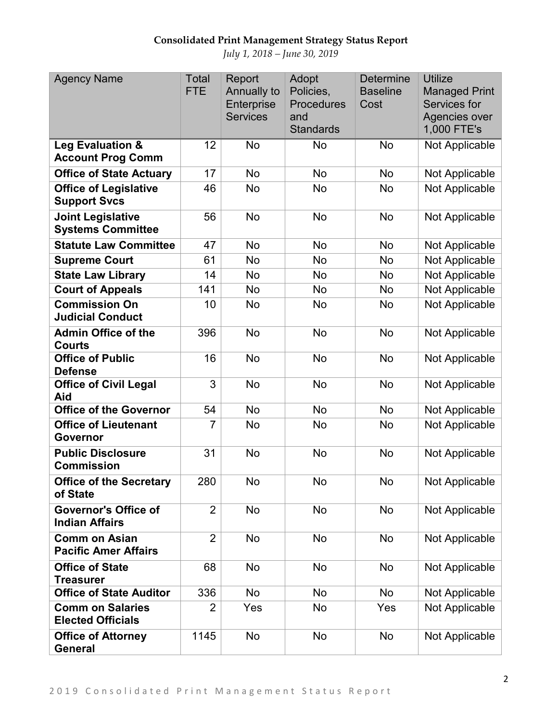| <b>Agency Name</b>                                   | <b>Total</b><br><b>FTE</b> | Report<br>Annually to<br>Enterprise<br><b>Services</b> | Adopt<br>Policies,<br><b>Procedures</b><br>and<br><b>Standards</b> | <b>Determine</b><br><b>Baseline</b><br>Cost | <b>Utilize</b><br><b>Managed Print</b><br>Services for<br>Agencies over<br>1,000 FTE's |
|------------------------------------------------------|----------------------------|--------------------------------------------------------|--------------------------------------------------------------------|---------------------------------------------|----------------------------------------------------------------------------------------|
| Leg Evaluation &<br><b>Account Prog Comm</b>         | 12                         | <b>No</b>                                              | No                                                                 | <b>No</b>                                   | Not Applicable                                                                         |
| <b>Office of State Actuary</b>                       | 17                         | <b>No</b>                                              | <b>No</b>                                                          | <b>No</b>                                   | Not Applicable                                                                         |
| <b>Office of Legislative</b><br><b>Support Svcs</b>  | 46                         | <b>No</b>                                              | <b>No</b>                                                          | No                                          | Not Applicable                                                                         |
| <b>Joint Legislative</b><br><b>Systems Committee</b> | 56                         | <b>No</b>                                              | <b>No</b>                                                          | <b>No</b>                                   | Not Applicable                                                                         |
| <b>Statute Law Committee</b>                         | 47                         | <b>No</b>                                              | <b>No</b>                                                          | <b>No</b>                                   | Not Applicable                                                                         |
| <b>Supreme Court</b>                                 | 61                         | <b>No</b>                                              | <b>No</b>                                                          | No                                          | Not Applicable                                                                         |
| <b>State Law Library</b>                             | 14                         | No                                                     | <b>No</b>                                                          | No                                          | Not Applicable                                                                         |
| <b>Court of Appeals</b>                              | 141                        | <b>No</b>                                              | No                                                                 | No                                          | Not Applicable                                                                         |
| <b>Commission On</b><br><b>Judicial Conduct</b>      | 10                         | <b>No</b>                                              | No                                                                 | No                                          | Not Applicable                                                                         |
| <b>Admin Office of the</b><br><b>Courts</b>          | 396                        | <b>No</b>                                              | <b>No</b>                                                          | <b>No</b>                                   | Not Applicable                                                                         |
| <b>Office of Public</b><br><b>Defense</b>            | 16                         | <b>No</b>                                              | No                                                                 | <b>No</b>                                   | Not Applicable                                                                         |
| <b>Office of Civil Legal</b><br>Aid                  | 3                          | <b>No</b>                                              | No                                                                 | <b>No</b>                                   | Not Applicable                                                                         |
| <b>Office of the Governor</b>                        | 54                         | <b>No</b>                                              | <b>No</b>                                                          | <b>No</b>                                   | Not Applicable                                                                         |
| <b>Office of Lieutenant</b><br>Governor              | 7                          | <b>No</b>                                              | <b>No</b>                                                          | No                                          | Not Applicable                                                                         |
| <b>Public Disclosure</b><br><b>Commission</b>        | 31                         | <b>No</b>                                              | <b>No</b>                                                          | No                                          | Not Applicable                                                                         |
| <b>Office of the Secretary</b><br>of State           | 280                        | <b>No</b>                                              | <b>No</b>                                                          | No                                          | Not Applicable                                                                         |
| <b>Governor's Office of</b><br><b>Indian Affairs</b> | $\overline{2}$             | No                                                     | No                                                                 | No                                          | Not Applicable                                                                         |
| <b>Comm on Asian</b><br><b>Pacific Amer Affairs</b>  | $\overline{2}$             | No                                                     | No                                                                 | <b>No</b>                                   | Not Applicable                                                                         |
| <b>Office of State</b><br>Treasurer                  | 68                         | No                                                     | <b>No</b>                                                          | No                                          | Not Applicable                                                                         |
| <b>Office of State Auditor</b>                       | 336                        | No                                                     | <b>No</b>                                                          | <b>No</b>                                   | Not Applicable                                                                         |
| <b>Comm on Salaries</b><br><b>Elected Officials</b>  | 2                          | Yes                                                    | No                                                                 | Yes                                         | Not Applicable                                                                         |
| <b>Office of Attorney</b><br><b>General</b>          | 1145                       | No                                                     | No                                                                 | No                                          | Not Applicable                                                                         |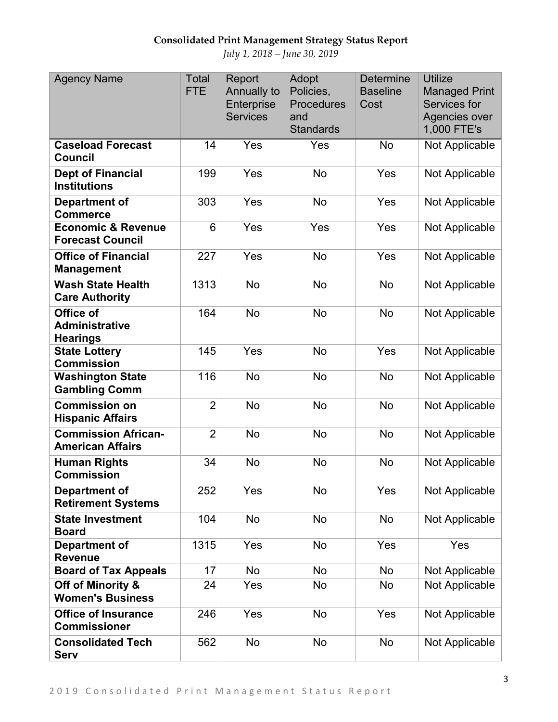| <b>Agency Name</b>                                       | <b>Total</b><br><b>FTE</b> | Report<br>Annually to<br>Enterprise<br><b>Services</b> | Adopt<br>Policies,<br>Procedures<br>and<br><b>Standards</b> | <b>Determine</b><br><b>Baseline</b><br>Cost | <b>Utilize</b><br><b>Managed Print</b><br>Services for<br>Agencies over<br>1,000 FTE's |
|----------------------------------------------------------|----------------------------|--------------------------------------------------------|-------------------------------------------------------------|---------------------------------------------|----------------------------------------------------------------------------------------|
| <b>Caseload Forecast</b><br><b>Council</b>               | 14                         | Yes                                                    | Yes                                                         | No                                          | Not Applicable                                                                         |
| <b>Dept of Financial</b><br><b>Institutions</b>          | 199                        | Yes                                                    | <b>No</b>                                                   | Yes                                         | Not Applicable                                                                         |
| Department of<br><b>Commerce</b>                         | 303                        | Yes                                                    | <b>No</b>                                                   | Yes                                         | Not Applicable                                                                         |
| <b>Economic &amp; Revenue</b><br><b>Forecast Council</b> | 6                          | Yes                                                    | Yes                                                         | Yes                                         | Not Applicable                                                                         |
| <b>Office of Financial</b><br><b>Management</b>          | 227                        | Yes                                                    | <b>No</b>                                                   | Yes                                         | Not Applicable                                                                         |
| <b>Wash State Health</b><br><b>Care Authority</b>        | 1313                       | <b>No</b>                                              | <b>No</b>                                                   | <b>No</b>                                   | Not Applicable                                                                         |
| Office of<br><b>Administrative</b><br><b>Hearings</b>    | 164                        | <b>No</b>                                              | <b>No</b>                                                   | <b>No</b>                                   | Not Applicable                                                                         |
| <b>State Lottery</b><br><b>Commission</b>                | 145                        | Yes                                                    | <b>No</b>                                                   | Yes                                         | Not Applicable                                                                         |
| <b>Washington State</b><br><b>Gambling Comm</b>          | 116                        | <b>No</b>                                              | <b>No</b>                                                   | <b>No</b>                                   | Not Applicable                                                                         |
| <b>Commission on</b><br><b>Hispanic Affairs</b>          | $\overline{2}$             | <b>No</b>                                              | <b>No</b>                                                   | <b>No</b>                                   | Not Applicable                                                                         |
| <b>Commission African-</b><br><b>American Affairs</b>    | $\overline{2}$             | <b>No</b>                                              | <b>No</b>                                                   | <b>No</b>                                   | Not Applicable                                                                         |
| <b>Human Rights</b><br><b>Commission</b>                 | 34                         | <b>No</b>                                              | <b>No</b>                                                   | <b>No</b>                                   | Not Applicable                                                                         |
| Department of<br><b>Retirement Systems</b>               | 252                        | Yes                                                    | No                                                          | Yes                                         | Not Applicable                                                                         |
| <b>State Investment</b><br><b>Board</b>                  | 104                        | <b>No</b>                                              | <b>No</b>                                                   | No                                          | Not Applicable                                                                         |
| <b>Department of</b><br><b>Revenue</b>                   | 1315                       | Yes                                                    | No                                                          | Yes                                         | Yes                                                                                    |
| <b>Board of Tax Appeals</b>                              | 17                         | No                                                     | No                                                          | <b>No</b>                                   | Not Applicable                                                                         |
| Off of Minority &<br><b>Women's Business</b>             | 24                         | Yes                                                    | <b>No</b>                                                   | No                                          | Not Applicable                                                                         |
| <b>Office of Insurance</b><br><b>Commissioner</b>        | 246                        | Yes                                                    | No                                                          | Yes                                         | Not Applicable                                                                         |
| <b>Consolidated Tech</b><br><b>Serv</b>                  | 562                        | No                                                     | No                                                          | <b>No</b>                                   | Not Applicable                                                                         |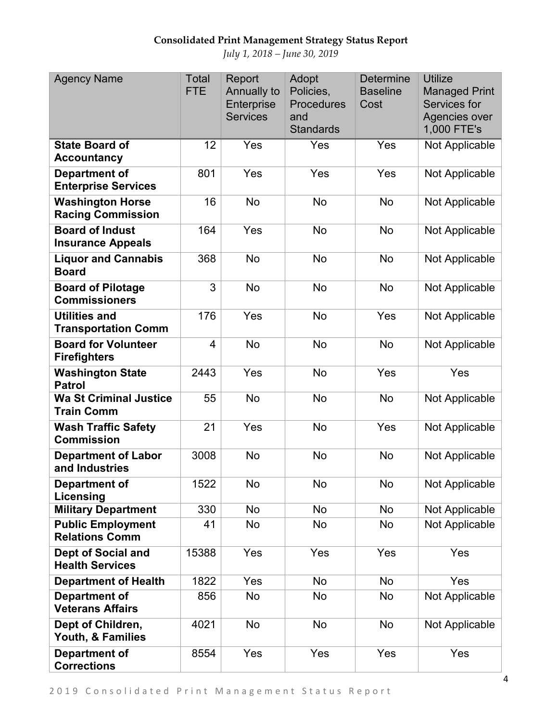| <b>Agency Name</b>                                  | <b>Total</b><br><b>FTE</b> | Report<br>Annually to<br>Enterprise<br><b>Services</b> | Adopt<br>Policies,<br><b>Procedures</b><br>and<br><b>Standards</b> | <b>Determine</b><br><b>Baseline</b><br>Cost | <b>Utilize</b><br><b>Managed Print</b><br>Services for<br>Agencies over<br>1,000 FTE's |
|-----------------------------------------------------|----------------------------|--------------------------------------------------------|--------------------------------------------------------------------|---------------------------------------------|----------------------------------------------------------------------------------------|
| <b>State Board of</b><br><b>Accountancy</b>         | 12                         | Yes                                                    | Yes                                                                | Yes                                         | Not Applicable                                                                         |
| <b>Department of</b><br><b>Enterprise Services</b>  | 801                        | Yes                                                    | Yes                                                                | Yes                                         | Not Applicable                                                                         |
| <b>Washington Horse</b><br><b>Racing Commission</b> | 16                         | <b>No</b>                                              | <b>No</b>                                                          | <b>No</b>                                   | Not Applicable                                                                         |
| <b>Board of Indust</b><br><b>Insurance Appeals</b>  | 164                        | Yes                                                    | <b>No</b>                                                          | <b>No</b>                                   | Not Applicable                                                                         |
| <b>Liquor and Cannabis</b><br><b>Board</b>          | 368                        | <b>No</b>                                              | <b>No</b>                                                          | <b>No</b>                                   | Not Applicable                                                                         |
| <b>Board of Pilotage</b><br><b>Commissioners</b>    | 3                          | <b>No</b>                                              | <b>No</b>                                                          | <b>No</b>                                   | Not Applicable                                                                         |
| <b>Utilities and</b><br><b>Transportation Comm</b>  | 176                        | Yes                                                    | <b>No</b>                                                          | Yes                                         | Not Applicable                                                                         |
| <b>Board for Volunteer</b><br><b>Firefighters</b>   | $\overline{4}$             | <b>No</b>                                              | <b>No</b>                                                          | <b>No</b>                                   | Not Applicable                                                                         |
| <b>Washington State</b><br><b>Patrol</b>            | 2443                       | Yes                                                    | <b>No</b>                                                          | Yes                                         | Yes                                                                                    |
| <b>Wa St Criminal Justice</b><br><b>Train Comm</b>  | 55                         | <b>No</b>                                              | <b>No</b>                                                          | <b>No</b>                                   | Not Applicable                                                                         |
| <b>Wash Traffic Safety</b><br><b>Commission</b>     | 21                         | Yes                                                    | <b>No</b>                                                          | Yes                                         | Not Applicable                                                                         |
| <b>Department of Labor</b><br>and Industries        | 3008                       | <b>No</b>                                              | <b>No</b>                                                          | <b>No</b>                                   | Not Applicable                                                                         |
| Department of<br>Licensing                          | 1522                       | No                                                     | No                                                                 | <b>No</b>                                   | Not Applicable                                                                         |
| <b>Military Department</b>                          | 330                        | No                                                     | No                                                                 | <b>No</b>                                   | Not Applicable                                                                         |
| <b>Public Employment</b><br><b>Relations Comm</b>   | 41                         | No                                                     | No                                                                 | No                                          | Not Applicable                                                                         |
| <b>Dept of Social and</b><br><b>Health Services</b> | 15388                      | Yes                                                    | Yes                                                                | Yes                                         | Yes                                                                                    |
| <b>Department of Health</b>                         | 1822                       | Yes                                                    | No                                                                 | <b>No</b>                                   | Yes                                                                                    |
| <b>Department of</b><br><b>Veterans Affairs</b>     | 856                        | No                                                     | <b>No</b>                                                          | No                                          | Not Applicable                                                                         |
| Dept of Children,<br>Youth, & Families              | 4021                       | <b>No</b>                                              | <b>No</b>                                                          | <b>No</b>                                   | Not Applicable                                                                         |
| <b>Department of</b><br><b>Corrections</b>          | 8554                       | Yes                                                    | Yes                                                                | Yes                                         | Yes                                                                                    |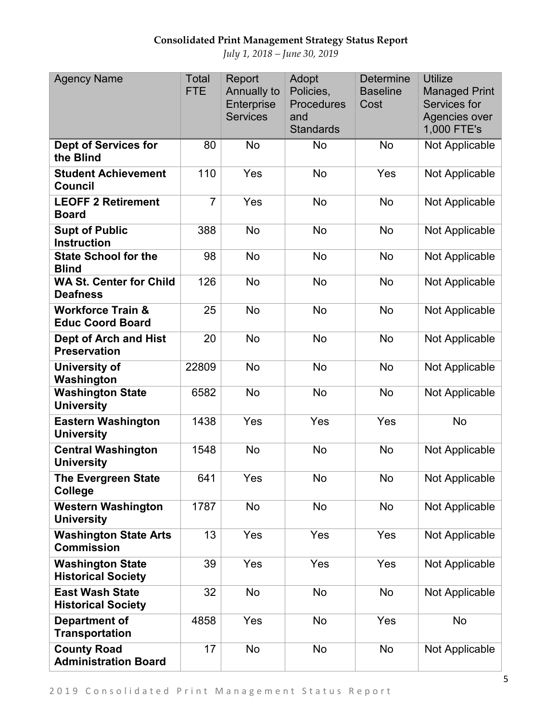| <b>Agency Name</b>                                      | <b>Total</b><br><b>FTE</b> | Report<br>Annually to<br>Enterprise<br><b>Services</b> | Adopt<br>Policies,<br><b>Procedures</b><br>and<br><b>Standards</b> | <b>Determine</b><br><b>Baseline</b><br>Cost | <b>Utilize</b><br><b>Managed Print</b><br>Services for<br>Agencies over<br>1,000 FTE's |
|---------------------------------------------------------|----------------------------|--------------------------------------------------------|--------------------------------------------------------------------|---------------------------------------------|----------------------------------------------------------------------------------------|
| <b>Dept of Services for</b><br>the Blind                | 80                         | No                                                     | No                                                                 | No                                          | Not Applicable                                                                         |
| <b>Student Achievement</b><br><b>Council</b>            | 110                        | Yes                                                    | <b>No</b>                                                          | Yes                                         | Not Applicable                                                                         |
| <b>LEOFF 2 Retirement</b><br><b>Board</b>               | $\overline{7}$             | Yes                                                    | <b>No</b>                                                          | <b>No</b>                                   | Not Applicable                                                                         |
| <b>Supt of Public</b><br><b>Instruction</b>             | 388                        | <b>No</b>                                              | <b>No</b>                                                          | <b>No</b>                                   | Not Applicable                                                                         |
| <b>State School for the</b><br><b>Blind</b>             | 98                         | <b>No</b>                                              | <b>No</b>                                                          | <b>No</b>                                   | Not Applicable                                                                         |
| <b>WA St. Center for Child</b><br><b>Deafness</b>       | 126                        | <b>No</b>                                              | No                                                                 | No                                          | Not Applicable                                                                         |
| <b>Workforce Train &amp;</b><br><b>Educ Coord Board</b> | 25                         | <b>No</b>                                              | <b>No</b>                                                          | <b>No</b>                                   | Not Applicable                                                                         |
| <b>Dept of Arch and Hist</b><br><b>Preservation</b>     | 20                         | <b>No</b>                                              | <b>No</b>                                                          | <b>No</b>                                   | Not Applicable                                                                         |
| University of<br>Washington                             | 22809                      | <b>No</b>                                              | <b>No</b>                                                          | <b>No</b>                                   | Not Applicable                                                                         |
| <b>Washington State</b><br><b>University</b>            | 6582                       | <b>No</b>                                              | <b>No</b>                                                          | <b>No</b>                                   | Not Applicable                                                                         |
| <b>Eastern Washington</b><br><b>University</b>          | 1438                       | Yes                                                    | Yes                                                                | Yes                                         | <b>No</b>                                                                              |
| <b>Central Washington</b><br><b>University</b>          | 1548                       | <b>No</b>                                              | <b>No</b>                                                          | <b>No</b>                                   | Not Applicable                                                                         |
| <b>The Evergreen State</b><br>College                   | 641                        | Yes                                                    | No                                                                 | No                                          | Not Applicable                                                                         |
| <b>Western Washington</b><br><b>University</b>          | 1787                       | No                                                     | No                                                                 | No                                          | Not Applicable                                                                         |
| <b>Washington State Arts</b><br><b>Commission</b>       | 13                         | Yes                                                    | Yes                                                                | Yes                                         | Not Applicable                                                                         |
| <b>Washington State</b><br><b>Historical Society</b>    | 39                         | Yes                                                    | Yes                                                                | Yes                                         | Not Applicable                                                                         |
| <b>East Wash State</b><br><b>Historical Society</b>     | 32                         | <b>No</b>                                              | <b>No</b>                                                          | No                                          | Not Applicable                                                                         |
| Department of<br><b>Transportation</b>                  | 4858                       | Yes                                                    | No                                                                 | Yes                                         | No                                                                                     |
| <b>County Road</b><br><b>Administration Board</b>       | 17                         | No                                                     | No                                                                 | No                                          | Not Applicable                                                                         |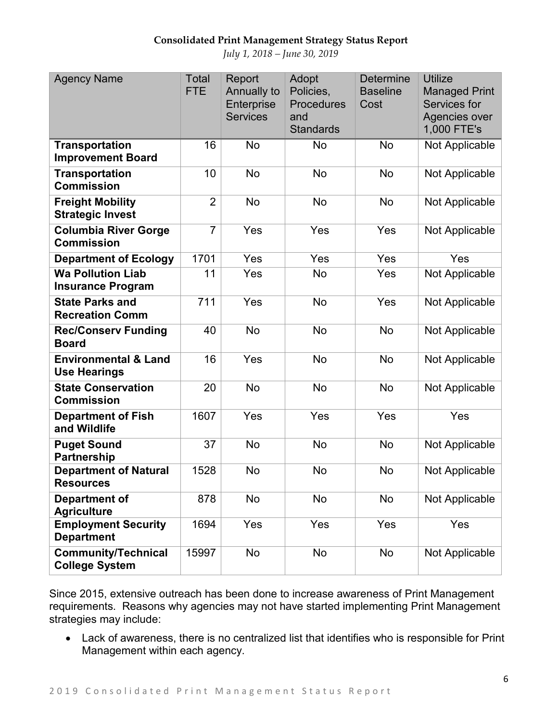*July 1, 2018 – June 30, 2019*

| <b>Agency Name</b>                                     | Total<br><b>FTE</b> | Report<br>Annually to<br>Enterprise<br><b>Services</b> | Adopt<br>Policies,<br><b>Procedures</b><br>and<br><b>Standards</b> | <b>Determine</b><br><b>Baseline</b><br>Cost | <b>Utilize</b><br><b>Managed Print</b><br>Services for<br>Agencies over<br>1,000 FTE's |
|--------------------------------------------------------|---------------------|--------------------------------------------------------|--------------------------------------------------------------------|---------------------------------------------|----------------------------------------------------------------------------------------|
| <b>Transportation</b><br><b>Improvement Board</b>      | 16                  | <b>No</b>                                              | <b>No</b>                                                          | <b>No</b>                                   | Not Applicable                                                                         |
| <b>Transportation</b><br><b>Commission</b>             | 10                  | <b>No</b>                                              | <b>No</b>                                                          | <b>No</b>                                   | Not Applicable                                                                         |
| <b>Freight Mobility</b><br><b>Strategic Invest</b>     | $\overline{2}$      | <b>No</b>                                              | <b>No</b>                                                          | <b>No</b>                                   | Not Applicable                                                                         |
| <b>Columbia River Gorge</b><br><b>Commission</b>       | $\overline{7}$      | Yes                                                    | Yes                                                                | Yes                                         | Not Applicable                                                                         |
| <b>Department of Ecology</b>                           | 1701                | Yes                                                    | Yes                                                                | Yes                                         | Yes                                                                                    |
| <b>Wa Pollution Liab</b><br><b>Insurance Program</b>   | 11                  | Yes                                                    | No                                                                 | Yes                                         | Not Applicable                                                                         |
| <b>State Parks and</b><br><b>Recreation Comm</b>       | 711                 | Yes                                                    | <b>No</b>                                                          | Yes                                         | Not Applicable                                                                         |
| <b>Rec/Conserv Funding</b><br><b>Board</b>             | 40                  | <b>No</b>                                              | <b>No</b>                                                          | <b>No</b>                                   | Not Applicable                                                                         |
| <b>Environmental &amp; Land</b><br><b>Use Hearings</b> | 16                  | Yes                                                    | <b>No</b>                                                          | <b>No</b>                                   | Not Applicable                                                                         |
| <b>State Conservation</b><br><b>Commission</b>         | 20                  | <b>No</b>                                              | <b>No</b>                                                          | <b>No</b>                                   | Not Applicable                                                                         |
| <b>Department of Fish</b><br>and Wildlife              | 1607                | Yes                                                    | Yes                                                                | Yes                                         | Yes                                                                                    |
| <b>Puget Sound</b><br><b>Partnership</b>               | 37                  | <b>No</b>                                              | No                                                                 | <b>No</b>                                   | Not Applicable                                                                         |
| <b>Department of Natural</b><br><b>Resources</b>       | 1528                | <b>No</b>                                              | <b>No</b>                                                          | <b>No</b>                                   | Not Applicable                                                                         |
| Department of<br><b>Agriculture</b>                    | 878                 | No                                                     | No                                                                 | No                                          | Not Applicable                                                                         |
| <b>Employment Security</b><br><b>Department</b>        | 1694                | Yes                                                    | Yes                                                                | Yes                                         | Yes                                                                                    |
| <b>Community/Technical</b><br><b>College System</b>    | 15997               | No                                                     | No                                                                 | No                                          | Not Applicable                                                                         |

Since 2015, extensive outreach has been done to increase awareness of Print Management requirements. Reasons why agencies may not have started implementing Print Management strategies may include:

• Lack of awareness, there is no centralized list that identifies who is responsible for Print Management within each agency.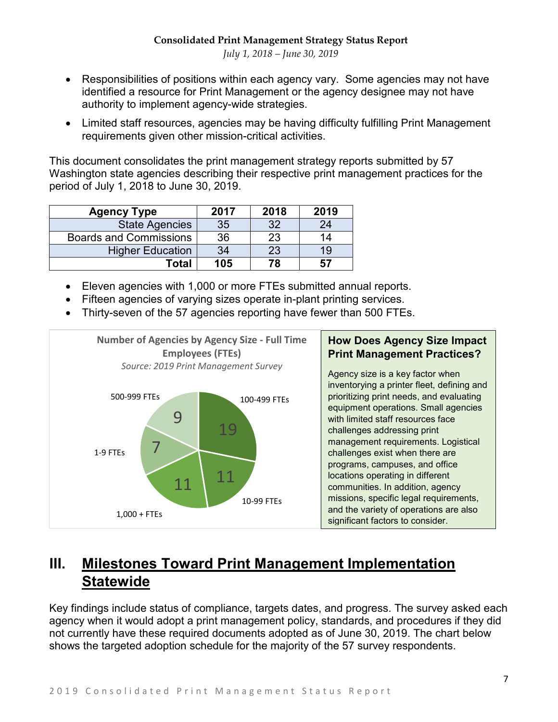- Responsibilities of positions within each agency vary. Some agencies may not have identified a resource for Print Management or the agency designee may not have authority to implement agency-wide strategies.
- Limited staff resources, agencies may be having difficulty fulfilling Print Management requirements given other mission-critical activities.

This document consolidates the print management strategy reports submitted by 57 Washington state agencies describing their respective print management practices for the period of July 1, 2018 to June 30, 2019.

| <b>Agency Type</b>            | 2017 | 2018 | 2019 |
|-------------------------------|------|------|------|
| <b>State Agencies</b>         | 35   | 32   | 24   |
| <b>Boards and Commissions</b> | 36   | 23   | 14   |
| <b>Higher Education</b>       | 34   | 23   | 19   |
| Total                         | 105  | 78   | 57   |

- Eleven agencies with 1,000 or more FTEs submitted annual reports.
- Fifteen agencies of varying sizes operate in-plant printing services.
- Thirty-seven of the 57 agencies reporting have fewer than 500 FTEs.



# **III. Milestones Toward Print Management Implementation Statewide**

Key findings include status of compliance, targets dates, and progress. The survey asked each agency when it would adopt a print management policy, standards, and procedures if they did not currently have these required documents adopted as of June 30, 2019. The chart below shows the targeted adoption schedule for the majority of the 57 survey respondents.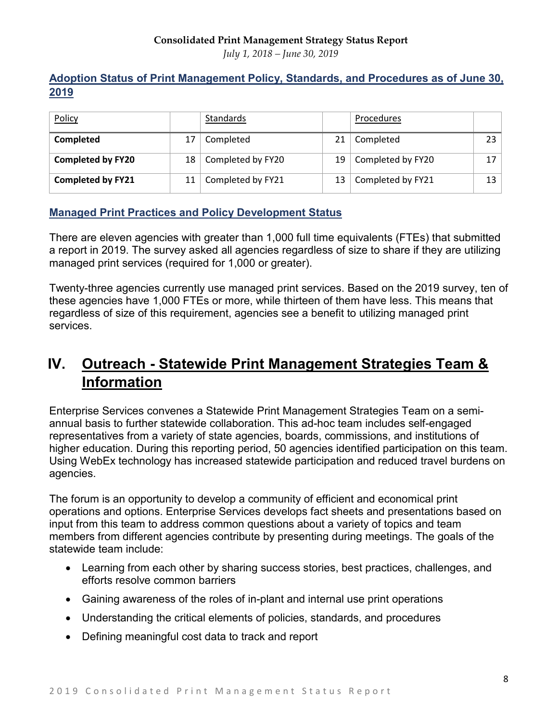*July 1, 2018 – June 30, 2019*

## **Adoption Status of Print Management Policy, Standards, and Procedures as of June 30, 2019**

| Policy                   |                 | Standards         |    | Procedures        |    |
|--------------------------|-----------------|-------------------|----|-------------------|----|
| Completed                | 17              | Completed         | 21 | Completed         | 23 |
| <b>Completed by FY20</b> | 18 <sup>1</sup> | Completed by FY20 | 19 | Completed by FY20 |    |
| <b>Completed by FY21</b> | 11              | Completed by FY21 | 13 | Completed by FY21 | 13 |

## **Managed Print Practices and Policy Development Status**

There are eleven agencies with greater than 1,000 full time equivalents (FTEs) that submitted a report in 2019. The survey asked all agencies regardless of size to share if they are utilizing managed print services (required for 1,000 or greater).

Twenty-three agencies currently use managed print services. Based on the 2019 survey, ten of these agencies have 1,000 FTEs or more, while thirteen of them have less. This means that regardless of size of this requirement, agencies see a benefit to utilizing managed print services.

# **IV. Outreach - Statewide Print Management Strategies Team & Information**

Enterprise Services convenes a Statewide Print Management Strategies Team on a semiannual basis to further statewide collaboration. This ad-hoc team includes self-engaged representatives from a variety of state agencies, boards, commissions, and institutions of higher education. During this reporting period, 50 agencies identified participation on this team. Using WebEx technology has increased statewide participation and reduced travel burdens on agencies.

The forum is an opportunity to develop a community of efficient and economical print operations and options. Enterprise Services develops fact sheets and presentations based on input from this team to address common questions about a variety of topics and team members from different agencies contribute by presenting during meetings. The goals of the statewide team include:

- Learning from each other by sharing success stories, best practices, challenges, and efforts resolve common barriers
- Gaining awareness of the roles of in-plant and internal use print operations
- Understanding the critical elements of policies, standards, and procedures
- Defining meaningful cost data to track and report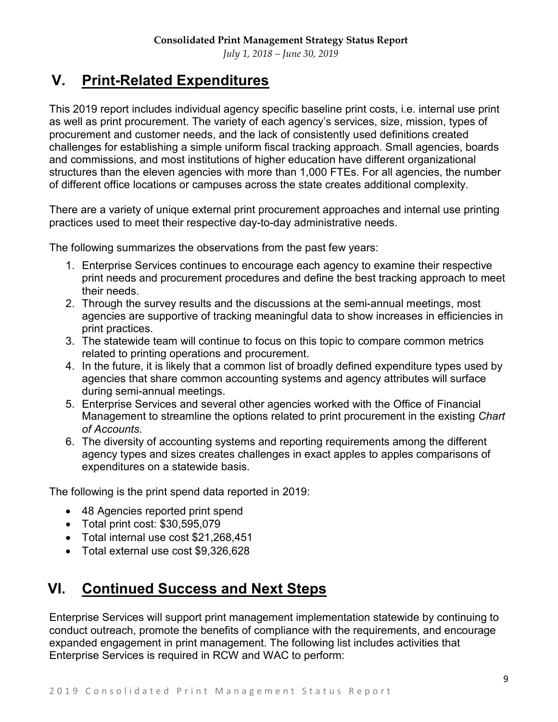*July 1, 2018 – June 30, 2019*

# **V. Print-Related Expenditures**

This 2019 report includes individual agency specific baseline print costs, i.e. internal use print as well as print procurement. The variety of each agency's services, size, mission, types of procurement and customer needs, and the lack of consistently used definitions created challenges for establishing a simple uniform fiscal tracking approach. Small agencies, boards and commissions, and most institutions of higher education have different organizational structures than the eleven agencies with more than 1,000 FTEs. For all agencies, the number of different office locations or campuses across the state creates additional complexity.

There are a variety of unique external print procurement approaches and internal use printing practices used to meet their respective day-to-day administrative needs.

The following summarizes the observations from the past few years:

- 1. Enterprise Services continues to encourage each agency to examine their respective print needs and procurement procedures and define the best tracking approach to meet their needs.
- 2. Through the survey results and the discussions at the semi-annual meetings, most agencies are supportive of tracking meaningful data to show increases in efficiencies in print practices.
- 3. The statewide team will continue to focus on this topic to compare common metrics related to printing operations and procurement.
- 4. In the future, it is likely that a common list of broadly defined expenditure types used by agencies that share common accounting systems and agency attributes will surface during semi-annual meetings.
- 5. Enterprise Services and several other agencies worked with the Office of Financial Management to streamline the options related to print procurement in the existing *Chart of Accounts*.
- 6. The diversity of accounting systems and reporting requirements among the different agency types and sizes creates challenges in exact apples to apples comparisons of expenditures on a statewide basis.

The following is the print spend data reported in 2019:

- 48 Agencies reported print spend
- Total print cost: \$30,595,079
- Total internal use cost \$21,268,451
- Total external use cost \$9,326,628

# **VI. Continued Success and Next Steps**

Enterprise Services will support print management implementation statewide by continuing to conduct outreach, promote the benefits of compliance with the requirements, and encourage expanded engagement in print management. The following list includes activities that Enterprise Services is required in RCW and WAC to perform: